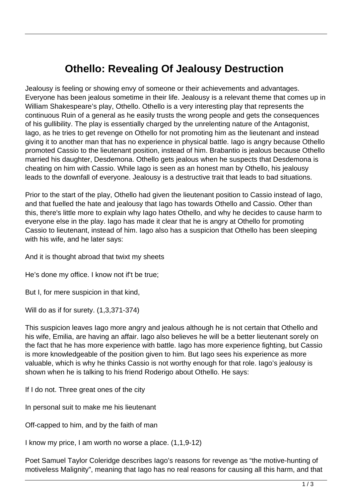## **Othello: Revealing Of Jealousy Destruction**

Jealousy is feeling or showing envy of someone or their achievements and advantages. Everyone has been jealous sometime in their life. Jealousy is a relevant theme that comes up in William Shakespeare's play, Othello. Othello is a very interesting play that represents the continuous Ruin of a general as he easily trusts the wrong people and gets the consequences of his gullibility. The play is essentially charged by the unrelenting nature of the Antagonist, Iago, as he tries to get revenge on Othello for not promoting him as the lieutenant and instead giving it to another man that has no experience in physical battle. Iago is angry because Othello promoted Cassio to the lieutenant position, instead of him. Brabantio is jealous because Othello married his daughter, Desdemona. Othello gets jealous when he suspects that Desdemona is cheating on him with Cassio. While Iago is seen as an honest man by Othello, his jealousy leads to the downfall of everyone. Jealousy is a destructive trait that leads to bad situations.

Prior to the start of the play, Othello had given the lieutenant position to Cassio instead of Iago, and that fuelled the hate and jealousy that Iago has towards Othello and Cassio. Other than this, there's little more to explain why Iago hates Othello, and why he decides to cause harm to everyone else in the play. Iago has made it clear that he is angry at Othello for promoting Cassio to lieutenant, instead of him. Iago also has a suspicion that Othello has been sleeping with his wife, and he later says:

And it is thought abroad that twixt my sheets

He's done my office. I know not if't be true;

But I, for mere suspicion in that kind,

Will do as if for surety. (1,3,371-374)

This suspicion leaves Iago more angry and jealous although he is not certain that Othello and his wife, Emilia, are having an affair. Iago also believes he will be a better lieutenant sorely on the fact that he has more experience with battle. Iago has more experience fighting, but Cassio is more knowledgeable of the position given to him. But Iago sees his experience as more valuable, which is why he thinks Cassio is not worthy enough for that role. Iago's jealousy is shown when he is talking to his friend Roderigo about Othello. He says:

If I do not. Three great ones of the city

In personal suit to make me his lieutenant

Off-capped to him, and by the faith of man

I know my price, I am worth no worse a place. (1,1,9-12)

Poet Samuel Taylor Coleridge describes Iago's reasons for revenge as "the motive-hunting of motiveless Malignity", meaning that Iago has no real reasons for causing all this harm, and that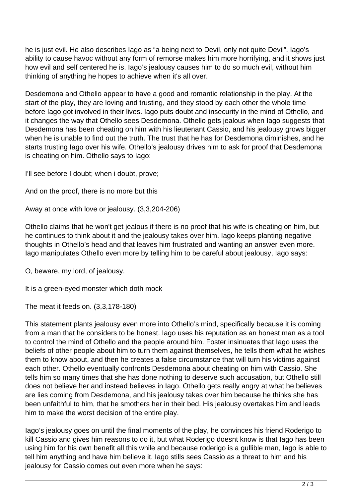he is just evil. He also describes Iago as "a being next to Devil, only not quite Devil". Iago's ability to cause havoc without any form of remorse makes him more horrifying, and it shows just how evil and self centered he is. Iago's jealousy causes him to do so much evil, without him thinking of anything he hopes to achieve when it's all over.

Desdemona and Othello appear to have a good and romantic relationship in the play. At the start of the play, they are loving and trusting, and they stood by each other the whole time before Iago got involved in their lives. Iago puts doubt and insecurity in the mind of Othello, and it changes the way that Othello sees Desdemona. Othello gets jealous when Iago suggests that Desdemona has been cheating on him with his lieutenant Cassio, and his jealousy grows bigger when he is unable to find out the truth. The trust that he has for Desdemona diminishes, and he starts trusting Iago over his wife. Othello's jealousy drives him to ask for proof that Desdemona is cheating on him. Othello says to Iago:

I'll see before I doubt; when i doubt, prove;

And on the proof, there is no more but this

Away at once with love or jealousy. (3,3,204-206)

Othello claims that he won't get jealous if there is no proof that his wife is cheating on him, but he continues to think about it and the jealousy takes over him. Iago keeps planting negative thoughts in Othello's head and that leaves him frustrated and wanting an answer even more. Iago manipulates Othello even more by telling him to be careful about jealousy, Iago says:

O, beware, my lord, of jealousy.

It is a green-eyed monster which doth mock

The meat it feeds on. (3,3,178-180)

This statement plants jealousy even more into Othello's mind, specifically because it is coming from a man that he considers to be honest. Iago uses his reputation as an honest man as a tool to control the mind of Othello and the people around him. Foster insinuates that Iago uses the beliefs of other people about him to turn them against themselves, he tells them what he wishes them to know about, and then he creates a false circumstance that will turn his victims against each other. Othello eventually confronts Desdemona about cheating on him with Cassio. She tells him so many times that she has done nothing to deserve such accusation, but Othello still does not believe her and instead believes in Iago. Othello gets really angry at what he believes are lies coming from Desdemona, and his jealousy takes over him because he thinks she has been unfaithful to him, that he smothers her in their bed. His jealousy overtakes him and leads him to make the worst decision of the entire play.

Iago's jealousy goes on until the final moments of the play, he convinces his friend Roderigo to kill Cassio and gives him reasons to do it, but what Roderigo doesnt know is that Iago has been using him for his own benefit all this while and because roderigo is a gullible man, Iago is able to tell him anything and have him believe it. Iago stills sees Cassio as a threat to him and his jealousy for Cassio comes out even more when he says: